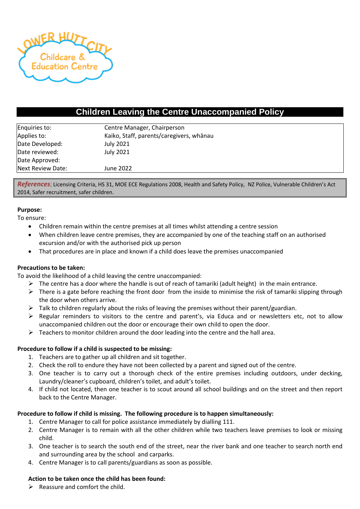

# **Children Leaving the Centre Unaccompanied Policy**

| Enquiries to:     | Centre Manager, Chairperson              |  |  |
|-------------------|------------------------------------------|--|--|
| Applies to:       | Kaiko, Staff, parents/caregivers, whānau |  |  |
| Date Developed:   | <b>July 2021</b>                         |  |  |
| Date reviewed:    | <b>July 2021</b>                         |  |  |
| Date Approved:    |                                          |  |  |
| Next Review Date: | June 2022                                |  |  |

*References*; Licensing Criteria, HS 31, MOE ECE Regulations 2008, Health and Safety Policy, NZ Police, Vulnerable Children's Act 2014, Safer recruitment, safer children.

#### **Purpose:**

To ensure:

- Children remain within the centre premises at all times whilst attending a centre session
- When children leave centre premises, they are accompanied by one of the teaching staff on an authorised excursion and/or with the authorised pick up person
- That procedures are in place and known if a child does leave the premises unaccompanied

## **Precautions to be taken:**

To avoid the likelihood of a child leaving the centre unaccompanied:

- $\triangleright$  The centre has a door where the handle is out of reach of tamariki (adult height) in the main entrance.
- $\triangleright$  There is a gate before reaching the front door from the inside to minimise the risk of tamariki slipping through the door when others arrive.
- ➢ Talk to children regularly about the risks of leaving the premises without their parent/guardian.
- ➢ Regular reminders to visitors to the centre and parent's, via Educa and or newsletters etc, not to allow unaccompanied children out the door or encourage their own child to open the door.
- $\triangleright$  Teachers to monitor children around the door leading into the centre and the hall area.

## **Procedure to follow if a child is suspected to be missing:**

- 1. Teachers are to gather up all children and sit together.
- 2. Check the roll to endure they have not been collected by a parent and signed out of the centre.
- 3. One teacher is to carry out a thorough check of the entire premises including outdoors, under decking, Laundry/cleaner's cupboard, children's toilet, and adult's toilet.
- 4. If child not located, then one teacher is to scout around all school buildings and on the street and then report back to the Centre Manager.

#### **Procedure to follow if child is missing. The following procedure is to happen simultaneously:**

- 1. Centre Manager to call for police assistance immediately by dialling 111.
- 2. Centre Manager is to remain with all the other children while two teachers leave premises to look or missing child.
- 3. One teacher is to search the south end of the street, near the river bank and one teacher to search north end and surrounding area by the school and carparks.
- 4. Centre Manager is to call parents/guardians as soon as possible.

## **Action to be taken once the child has been found:**

 $\triangleright$  Reassure and comfort the child.